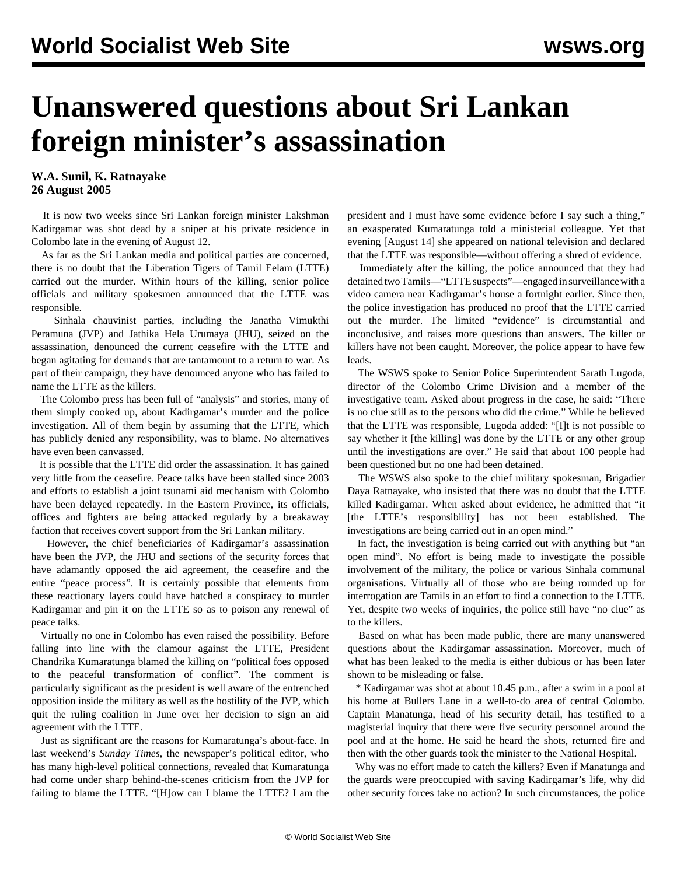## **Unanswered questions about Sri Lankan foreign minister's assassination**

## **W.A. Sunil, K. Ratnayake 26 August 2005**

 It is now two weeks since Sri Lankan foreign minister Lakshman Kadirgamar was shot dead by a sniper at his private residence in Colombo late in the evening of August 12.

 As far as the Sri Lankan media and political parties are concerned, there is no doubt that the Liberation Tigers of Tamil Eelam (LTTE) carried out the murder. Within hours of the killing, senior police officials and military spokesmen announced that the LTTE was responsible.

 Sinhala chauvinist parties, including the Janatha Vimukthi Peramuna (JVP) and Jathika Hela Urumaya (JHU), seized on the assassination, denounced the current ceasefire with the LTTE and began agitating for demands that are tantamount to a return to war. As part of their campaign, they have denounced anyone who has failed to name the LTTE as the killers.

 The Colombo press has been full of "analysis" and stories, many of them simply cooked up, about Kadirgamar's murder and the police investigation. All of them begin by assuming that the LTTE, which has publicly denied any responsibility, was to blame. No alternatives have even been canvassed.

 It is possible that the LTTE did order the assassination. It has gained very little from the ceasefire. Peace talks have been stalled since 2003 and efforts to establish a joint tsunami aid mechanism with Colombo have been delayed repeatedly. In the Eastern Province, its officials, offices and fighters are being attacked regularly by a breakaway faction that receives covert support from the Sri Lankan military.

 However, the chief beneficiaries of Kadirgamar's assassination have been the JVP, the JHU and sections of the security forces that have adamantly opposed the aid agreement, the ceasefire and the entire "peace process". It is certainly possible that elements from these reactionary layers could have hatched a conspiracy to murder Kadirgamar and pin it on the LTTE so as to poison any renewal of peace talks.

 Virtually no one in Colombo has even raised the possibility. Before falling into line with the clamour against the LTTE, President Chandrika Kumaratunga blamed the killing on "political foes opposed to the peaceful transformation of conflict". The comment is particularly significant as the president is well aware of the entrenched opposition inside the military as well as the hostility of the JVP, which quit the ruling coalition in June over her decision to sign an aid agreement with the LTTE.

 Just as significant are the reasons for Kumaratunga's about-face. In last weekend's *Sunday Times*, the newspaper's political editor, who has many high-level political connections, revealed that Kumaratunga had come under sharp behind-the-scenes criticism from the JVP for failing to blame the LTTE. "[H]ow can I blame the LTTE? I am the president and I must have some evidence before I say such a thing," an exasperated Kumaratunga told a ministerial colleague. Yet that evening [August 14] she appeared on national television and declared that the LTTE was responsible—without offering a shred of evidence.

 Immediately after the killing, the police announced that they had detained two Tamils—"LTTE suspects"—engaged in surveillance with a video camera near Kadirgamar's house a fortnight earlier. Since then, the police investigation has produced no proof that the LTTE carried out the murder. The limited "evidence" is circumstantial and inconclusive, and raises more questions than answers. The killer or killers have not been caught. Moreover, the police appear to have few leads.

 The WSWS spoke to Senior Police Superintendent Sarath Lugoda, director of the Colombo Crime Division and a member of the investigative team. Asked about progress in the case, he said: "There is no clue still as to the persons who did the crime." While he believed that the LTTE was responsible, Lugoda added: "[I]t is not possible to say whether it [the killing] was done by the LTTE or any other group until the investigations are over." He said that about 100 people had been questioned but no one had been detained.

 The WSWS also spoke to the chief military spokesman, Brigadier Daya Ratnayake, who insisted that there was no doubt that the LTTE killed Kadirgamar. When asked about evidence, he admitted that "it [the LTTE's responsibility] has not been established. The investigations are being carried out in an open mind."

 In fact, the investigation is being carried out with anything but "an open mind". No effort is being made to investigate the possible involvement of the military, the police or various Sinhala communal organisations. Virtually all of those who are being rounded up for interrogation are Tamils in an effort to find a connection to the LTTE. Yet, despite two weeks of inquiries, the police still have "no clue" as to the killers.

 Based on what has been made public, there are many unanswered questions about the Kadirgamar assassination. Moreover, much of what has been leaked to the media is either dubious or has been later shown to be misleading or false.

 \* Kadirgamar was shot at about 10.45 p.m., after a swim in a pool at his home at Bullers Lane in a well-to-do area of central Colombo. Captain Manatunga, head of his security detail, has testified to a magisterial inquiry that there were five security personnel around the pool and at the home. He said he heard the shots, returned fire and then with the other guards took the minister to the National Hospital.

 Why was no effort made to catch the killers? Even if Manatunga and the guards were preoccupied with saving Kadirgamar's life, why did other security forces take no action? In such circumstances, the police